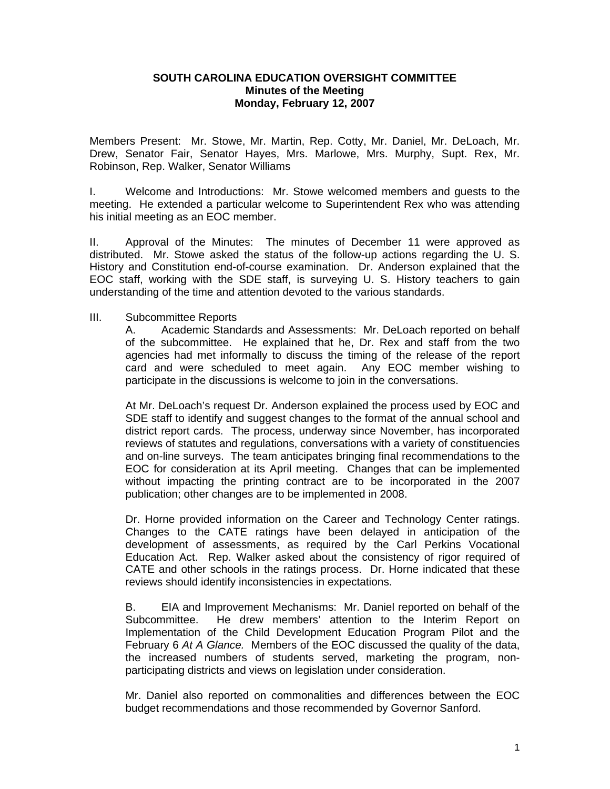### **SOUTH CAROLINA EDUCATION OVERSIGHT COMMITTEE Minutes of the Meeting Monday, February 12, 2007**

Members Present: Mr. Stowe, Mr. Martin, Rep. Cotty, Mr. Daniel, Mr. DeLoach, Mr. Drew, Senator Fair, Senator Hayes, Mrs. Marlowe, Mrs. Murphy, Supt. Rex, Mr. Robinson, Rep. Walker, Senator Williams

I. Welcome and Introductions: Mr. Stowe welcomed members and guests to the meeting. He extended a particular welcome to Superintendent Rex who was attending his initial meeting as an EOC member.

II. Approval of the Minutes: The minutes of December 11 were approved as distributed. Mr. Stowe asked the status of the follow-up actions regarding the U. S. History and Constitution end-of-course examination. Dr. Anderson explained that the EOC staff, working with the SDE staff, is surveying U. S. History teachers to gain understanding of the time and attention devoted to the various standards.

# III. Subcommittee Reports

A. Academic Standards and Assessments: Mr. DeLoach reported on behalf of the subcommittee. He explained that he, Dr. Rex and staff from the two agencies had met informally to discuss the timing of the release of the report card and were scheduled to meet again. Any EOC member wishing to participate in the discussions is welcome to join in the conversations.

At Mr. DeLoach's request Dr. Anderson explained the process used by EOC and SDE staff to identify and suggest changes to the format of the annual school and district report cards. The process, underway since November, has incorporated reviews of statutes and regulations, conversations with a variety of constituencies and on-line surveys. The team anticipates bringing final recommendations to the EOC for consideration at its April meeting. Changes that can be implemented without impacting the printing contract are to be incorporated in the 2007 publication; other changes are to be implemented in 2008.

Dr. Horne provided information on the Career and Technology Center ratings. Changes to the CATE ratings have been delayed in anticipation of the development of assessments, as required by the Carl Perkins Vocational Education Act. Rep. Walker asked about the consistency of rigor required of CATE and other schools in the ratings process. Dr. Horne indicated that these reviews should identify inconsistencies in expectations.

B. EIA and Improvement Mechanisms: Mr. Daniel reported on behalf of the Subcommittee. He drew members' attention to the Interim Report on Implementation of the Child Development Education Program Pilot and the February 6 *At A Glance.* Members of the EOC discussed the quality of the data, the increased numbers of students served, marketing the program, nonparticipating districts and views on legislation under consideration.

Mr. Daniel also reported on commonalities and differences between the EOC budget recommendations and those recommended by Governor Sanford.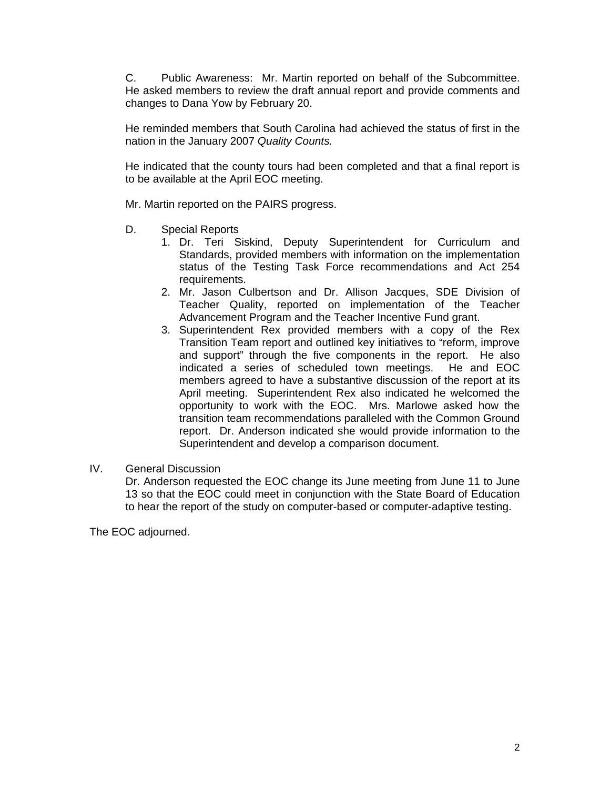C. Public Awareness: Mr. Martin reported on behalf of the Subcommittee. He asked members to review the draft annual report and provide comments and changes to Dana Yow by February 20.

He reminded members that South Carolina had achieved the status of first in the nation in the January 2007 *Quality Counts.* 

He indicated that the county tours had been completed and that a final report is to be available at the April EOC meeting.

Mr. Martin reported on the PAIRS progress.

- D. Special Reports
	- 1. Dr. Teri Siskind, Deputy Superintendent for Curriculum and Standards, provided members with information on the implementation status of the Testing Task Force recommendations and Act 254 requirements.
	- 2. Mr. Jason Culbertson and Dr. Allison Jacques, SDE Division of Teacher Quality, reported on implementation of the Teacher Advancement Program and the Teacher Incentive Fund grant.
	- 3. Superintendent Rex provided members with a copy of the Rex Transition Team report and outlined key initiatives to "reform, improve and support" through the five components in the report. He also indicated a series of scheduled town meetings. He and EOC members agreed to have a substantive discussion of the report at its April meeting. Superintendent Rex also indicated he welcomed the opportunity to work with the EOC. Mrs. Marlowe asked how the transition team recommendations paralleled with the Common Ground report. Dr. Anderson indicated she would provide information to the Superintendent and develop a comparison document.
- IV. General Discussion

Dr. Anderson requested the EOC change its June meeting from June 11 to June 13 so that the EOC could meet in conjunction with the State Board of Education to hear the report of the study on computer-based or computer-adaptive testing.

The EOC adjourned.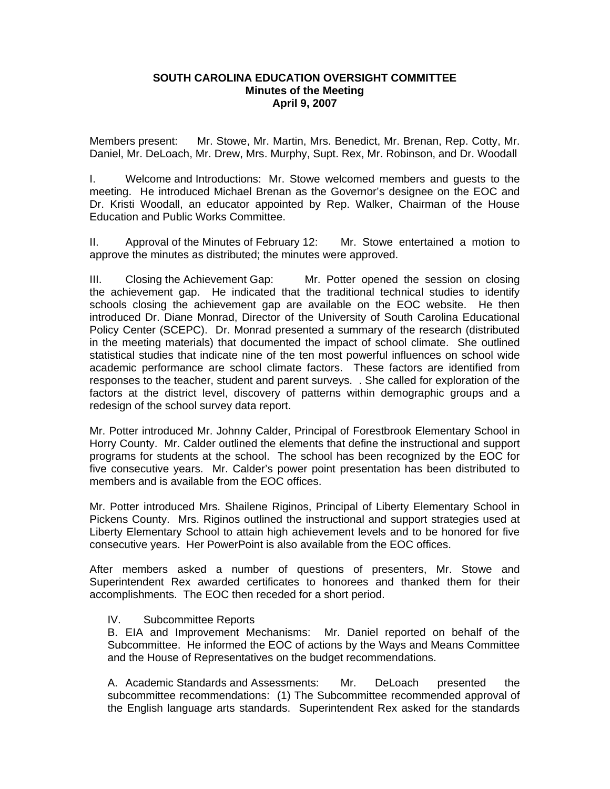### **SOUTH CAROLINA EDUCATION OVERSIGHT COMMITTEE Minutes of the Meeting April 9, 2007**

Members present: Mr. Stowe, Mr. Martin, Mrs. Benedict, Mr. Brenan, Rep. Cotty, Mr. Daniel, Mr. DeLoach, Mr. Drew, Mrs. Murphy, Supt. Rex, Mr. Robinson, and Dr. Woodall

I. Welcome and Introductions: Mr. Stowe welcomed members and guests to the meeting. He introduced Michael Brenan as the Governor's designee on the EOC and Dr. Kristi Woodall, an educator appointed by Rep. Walker, Chairman of the House Education and Public Works Committee.

II. Approval of the Minutes of February 12: Mr. Stowe entertained a motion to approve the minutes as distributed; the minutes were approved.

III. Closing the Achievement Gap: Mr. Potter opened the session on closing the achievement gap. He indicated that the traditional technical studies to identify schools closing the achievement gap are available on the EOC website. He then introduced Dr. Diane Monrad, Director of the University of South Carolina Educational Policy Center (SCEPC). Dr. Monrad presented a summary of the research (distributed in the meeting materials) that documented the impact of school climate. She outlined statistical studies that indicate nine of the ten most powerful influences on school wide academic performance are school climate factors. These factors are identified from responses to the teacher, student and parent surveys. . She called for exploration of the factors at the district level, discovery of patterns within demographic groups and a redesign of the school survey data report.

Mr. Potter introduced Mr. Johnny Calder, Principal of Forestbrook Elementary School in Horry County. Mr. Calder outlined the elements that define the instructional and support programs for students at the school. The school has been recognized by the EOC for five consecutive years. Mr. Calder's power point presentation has been distributed to members and is available from the EOC offices.

Mr. Potter introduced Mrs. Shailene Riginos, Principal of Liberty Elementary School in Pickens County. Mrs. Riginos outlined the instructional and support strategies used at Liberty Elementary School to attain high achievement levels and to be honored for five consecutive years. Her PowerPoint is also available from the EOC offices.

After members asked a number of questions of presenters, Mr. Stowe and Superintendent Rex awarded certificates to honorees and thanked them for their accomplishments. The EOC then receded for a short period.

# IV. Subcommittee Reports

B. EIA and Improvement Mechanisms: Mr. Daniel reported on behalf of the Subcommittee. He informed the EOC of actions by the Ways and Means Committee and the House of Representatives on the budget recommendations.

A. Academic Standards and Assessments: Mr. DeLoach presented the subcommittee recommendations: (1) The Subcommittee recommended approval of the English language arts standards. Superintendent Rex asked for the standards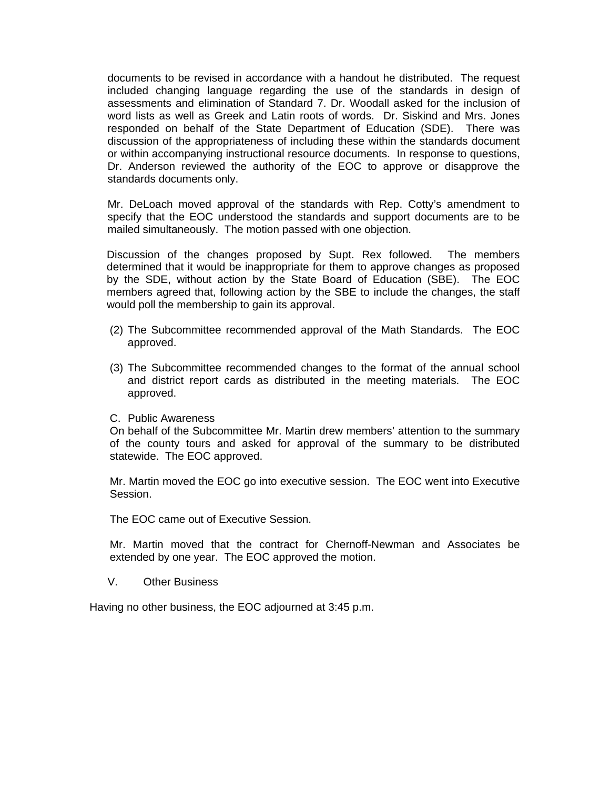documents to be revised in accordance with a handout he distributed. The request included changing language regarding the use of the standards in design of assessments and elimination of Standard 7. Dr. Woodall asked for the inclusion of word lists as well as Greek and Latin roots of words. Dr. Siskind and Mrs. Jones responded on behalf of the State Department of Education (SDE). There was discussion of the appropriateness of including these within the standards document or within accompanying instructional resource documents. In response to questions, Dr. Anderson reviewed the authority of the EOC to approve or disapprove the standards documents only.

Mr. DeLoach moved approval of the standards with Rep. Cotty's amendment to specify that the EOC understood the standards and support documents are to be mailed simultaneously. The motion passed with one objection.

Discussion of the changes proposed by Supt. Rex followed. The members determined that it would be inappropriate for them to approve changes as proposed by the SDE, without action by the State Board of Education (SBE). The EOC members agreed that, following action by the SBE to include the changes, the staff would poll the membership to gain its approval.

- (2) The Subcommittee recommended approval of the Math Standards. The EOC approved.
- (3) The Subcommittee recommended changes to the format of the annual school and district report cards as distributed in the meeting materials. The EOC approved.
- C. Public Awareness

On behalf of the Subcommittee Mr. Martin drew members' attention to the summary of the county tours and asked for approval of the summary to be distributed statewide. The EOC approved.

Mr. Martin moved the EOC go into executive session. The EOC went into Executive Session.

The EOC came out of Executive Session.

Mr. Martin moved that the contract for Chernoff-Newman and Associates be extended by one year. The EOC approved the motion.

V. Other Business

Having no other business, the EOC adjourned at 3:45 p.m.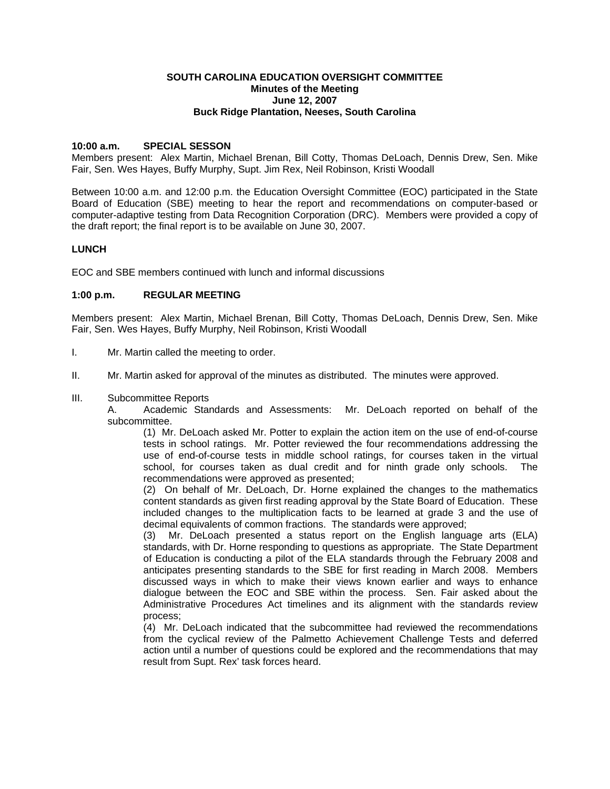#### **SOUTH CAROLINA EDUCATION OVERSIGHT COMMITTEE Minutes of the Meeting June 12, 2007 Buck Ridge Plantation, Neeses, South Carolina**

### **10:00 a.m. SPECIAL SESSON**

Members present: Alex Martin, Michael Brenan, Bill Cotty, Thomas DeLoach, Dennis Drew, Sen. Mike Fair, Sen. Wes Hayes, Buffy Murphy, Supt. Jim Rex, Neil Robinson, Kristi Woodall

Between 10:00 a.m. and 12:00 p.m. the Education Oversight Committee (EOC) participated in the State Board of Education (SBE) meeting to hear the report and recommendations on computer-based or computer-adaptive testing from Data Recognition Corporation (DRC). Members were provided a copy of the draft report; the final report is to be available on June 30, 2007.

### **LUNCH**

EOC and SBE members continued with lunch and informal discussions

### **1:00 p.m. REGULAR MEETING**

Members present: Alex Martin, Michael Brenan, Bill Cotty, Thomas DeLoach, Dennis Drew, Sen. Mike Fair, Sen. Wes Hayes, Buffy Murphy, Neil Robinson, Kristi Woodall

- I. Mr. Martin called the meeting to order.
- II. Mr. Martin asked for approval of the minutes as distributed. The minutes were approved.

#### III. Subcommittee Reports

 A. Academic Standards and Assessments: Mr. DeLoach reported on behalf of the subcommittee.

(1) Mr. DeLoach asked Mr. Potter to explain the action item on the use of end-of-course tests in school ratings. Mr. Potter reviewed the four recommendations addressing the use of end-of-course tests in middle school ratings, for courses taken in the virtual school, for courses taken as dual credit and for ninth grade only schools. The recommendations were approved as presented;

(2) On behalf of Mr. DeLoach, Dr. Horne explained the changes to the mathematics content standards as given first reading approval by the State Board of Education. These included changes to the multiplication facts to be learned at grade 3 and the use of decimal equivalents of common fractions. The standards were approved;

(3) Mr. DeLoach presented a status report on the English language arts (ELA) standards, with Dr. Horne responding to questions as appropriate. The State Department of Education is conducting a pilot of the ELA standards through the February 2008 and anticipates presenting standards to the SBE for first reading in March 2008. Members discussed ways in which to make their views known earlier and ways to enhance dialogue between the EOC and SBE within the process. Sen. Fair asked about the Administrative Procedures Act timelines and its alignment with the standards review process;

(4) Mr. DeLoach indicated that the subcommittee had reviewed the recommendations from the cyclical review of the Palmetto Achievement Challenge Tests and deferred action until a number of questions could be explored and the recommendations that may result from Supt. Rex' task forces heard.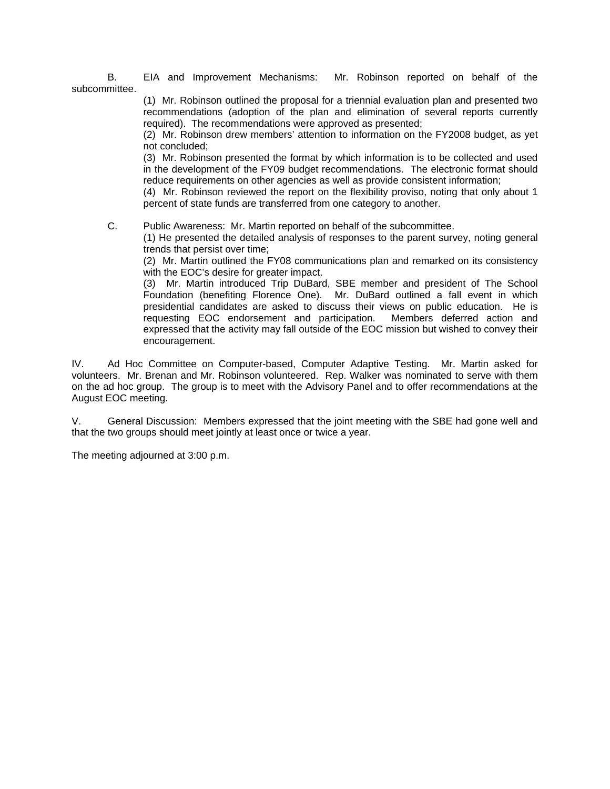B. EIA and Improvement Mechanisms: Mr. Robinson reported on behalf of the subcommittee.

(1) Mr. Robinson outlined the proposal for a triennial evaluation plan and presented two recommendations (adoption of the plan and elimination of several reports currently required). The recommendations were approved as presented;

(2) Mr. Robinson drew members' attention to information on the FY2008 budget, as yet not concluded;

(3) Mr. Robinson presented the format by which information is to be collected and used in the development of the FY09 budget recommendations. The electronic format should reduce requirements on other agencies as well as provide consistent information;

(4) Mr. Robinson reviewed the report on the flexibility proviso, noting that only about 1 percent of state funds are transferred from one category to another.

C. Public Awareness: Mr. Martin reported on behalf of the subcommittee.

(1) He presented the detailed analysis of responses to the parent survey, noting general trends that persist over time;

(2) Mr. Martin outlined the FY08 communications plan and remarked on its consistency with the EOC's desire for greater impact.

(3) Mr. Martin introduced Trip DuBard, SBE member and president of The School Foundation (benefiting Florence One). Mr. DuBard outlined a fall event in which presidential candidates are asked to discuss their views on public education. He is requesting EOC endorsement and participation. Members deferred action and expressed that the activity may fall outside of the EOC mission but wished to convey their encouragement.

IV. Ad Hoc Committee on Computer-based, Computer Adaptive Testing. Mr. Martin asked for volunteers. Mr. Brenan and Mr. Robinson volunteered. Rep. Walker was nominated to serve with them on the ad hoc group. The group is to meet with the Advisory Panel and to offer recommendations at the August EOC meeting.

V. General Discussion: Members expressed that the joint meeting with the SBE had gone well and that the two groups should meet jointly at least once or twice a year.

The meeting adjourned at 3:00 p.m.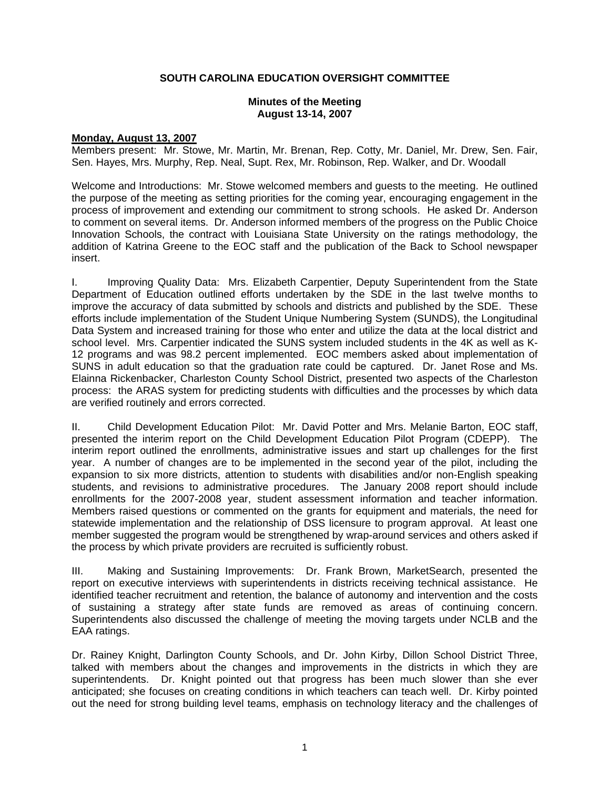# **SOUTH CAROLINA EDUCATION OVERSIGHT COMMITTEE**

### **Minutes of the Meeting August 13-14, 2007**

### **Monday, August 13, 2007**

Members present: Mr. Stowe, Mr. Martin, Mr. Brenan, Rep. Cotty, Mr. Daniel, Mr. Drew, Sen. Fair, Sen. Hayes, Mrs. Murphy, Rep. Neal, Supt. Rex, Mr. Robinson, Rep. Walker, and Dr. Woodall

Welcome and Introductions: Mr. Stowe welcomed members and guests to the meeting. He outlined the purpose of the meeting as setting priorities for the coming year, encouraging engagement in the process of improvement and extending our commitment to strong schools. He asked Dr. Anderson to comment on several items. Dr. Anderson informed members of the progress on the Public Choice Innovation Schools, the contract with Louisiana State University on the ratings methodology, the addition of Katrina Greene to the EOC staff and the publication of the Back to School newspaper insert.

I. Improving Quality Data: Mrs. Elizabeth Carpentier, Deputy Superintendent from the State Department of Education outlined efforts undertaken by the SDE in the last twelve months to improve the accuracy of data submitted by schools and districts and published by the SDE. These efforts include implementation of the Student Unique Numbering System (SUNDS), the Longitudinal Data System and increased training for those who enter and utilize the data at the local district and school level. Mrs. Carpentier indicated the SUNS system included students in the 4K as well as K-12 programs and was 98.2 percent implemented. EOC members asked about implementation of SUNS in adult education so that the graduation rate could be captured. Dr. Janet Rose and Ms. Elainna Rickenbacker, Charleston County School District, presented two aspects of the Charleston process: the ARAS system for predicting students with difficulties and the processes by which data are verified routinely and errors corrected.

II. Child Development Education Pilot: Mr. David Potter and Mrs. Melanie Barton, EOC staff, presented the interim report on the Child Development Education Pilot Program (CDEPP). The interim report outlined the enrollments, administrative issues and start up challenges for the first year. A number of changes are to be implemented in the second year of the pilot, including the expansion to six more districts, attention to students with disabilities and/or non-English speaking students, and revisions to administrative procedures. The January 2008 report should include enrollments for the 2007-2008 year, student assessment information and teacher information. Members raised questions or commented on the grants for equipment and materials, the need for statewide implementation and the relationship of DSS licensure to program approval. At least one member suggested the program would be strengthened by wrap-around services and others asked if the process by which private providers are recruited is sufficiently robust.

III. Making and Sustaining Improvements: Dr. Frank Brown, MarketSearch, presented the report on executive interviews with superintendents in districts receiving technical assistance. He identified teacher recruitment and retention, the balance of autonomy and intervention and the costs of sustaining a strategy after state funds are removed as areas of continuing concern. Superintendents also discussed the challenge of meeting the moving targets under NCLB and the EAA ratings.

Dr. Rainey Knight, Darlington County Schools, and Dr. John Kirby, Dillon School District Three, talked with members about the changes and improvements in the districts in which they are superintendents. Dr. Knight pointed out that progress has been much slower than she ever anticipated; she focuses on creating conditions in which teachers can teach well. Dr. Kirby pointed out the need for strong building level teams, emphasis on technology literacy and the challenges of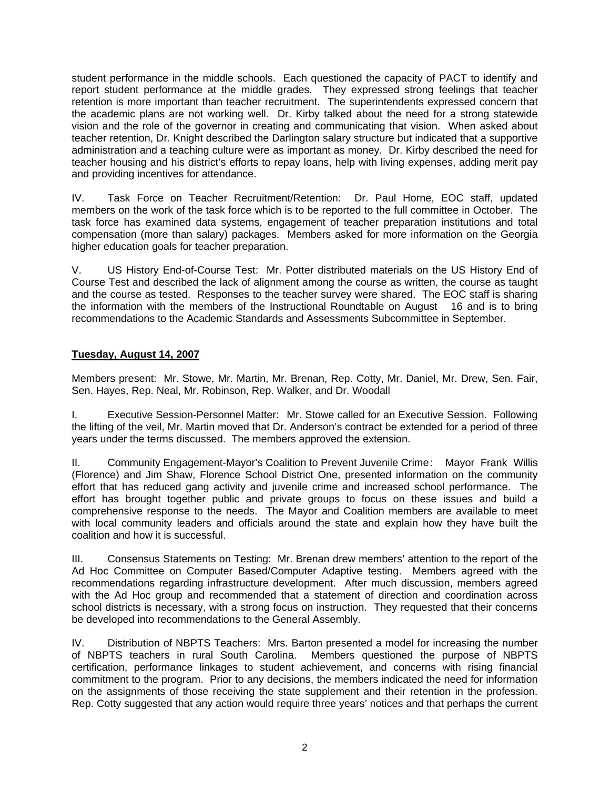student performance in the middle schools. Each questioned the capacity of PACT to identify and report student performance at the middle grades. They expressed strong feelings that teacher retention is more important than teacher recruitment. The superintendents expressed concern that the academic plans are not working well. Dr. Kirby talked about the need for a strong statewide vision and the role of the governor in creating and communicating that vision. When asked about teacher retention, Dr. Knight described the Darlington salary structure but indicated that a supportive administration and a teaching culture were as important as money. Dr. Kirby described the need for teacher housing and his district's efforts to repay loans, help with living expenses, adding merit pay and providing incentives for attendance.

IV. Task Force on Teacher Recruitment/Retention: Dr. Paul Horne, EOC staff, updated members on the work of the task force which is to be reported to the full committee in October. The task force has examined data systems, engagement of teacher preparation institutions and total compensation (more than salary) packages. Members asked for more information on the Georgia higher education goals for teacher preparation.

V. US History End-of-Course Test: Mr. Potter distributed materials on the US History End of Course Test and described the lack of alignment among the course as written, the course as taught and the course as tested. Responses to the teacher survey were shared. The EOC staff is sharing the information with the members of the Instructional Roundtable on August 16 and is to bring recommendations to the Academic Standards and Assessments Subcommittee in September.

# **Tuesday, August 14, 2007**

Members present: Mr. Stowe, Mr. Martin, Mr. Brenan, Rep. Cotty, Mr. Daniel, Mr. Drew, Sen. Fair, Sen. Hayes, Rep. Neal, Mr. Robinson, Rep. Walker, and Dr. Woodall

I. Executive Session-Personnel Matter: Mr. Stowe called for an Executive Session. Following the lifting of the veil, Mr. Martin moved that Dr. Anderson's contract be extended for a period of three years under the terms discussed. The members approved the extension.

II. Community Engagement-Mayor's Coalition to Prevent Juvenile Crime : Mayor Frank Willis (Florence) and Jim Shaw, Florence School District One, presented information on the community effort that has reduced gang activity and juvenile crime and increased school performance. The effort has brought together public and private groups to focus on these issues and build a comprehensive response to the needs. The Mayor and Coalition members are available to meet with local community leaders and officials around the state and explain how they have built the coalition and how it is successful.

III. Consensus Statements on Testing: Mr. Brenan drew members' attention to the report of the Ad Hoc Committee on Computer Based/Computer Adaptive testing. Members agreed with the recommendations regarding infrastructure development. After much discussion, members agreed with the Ad Hoc group and recommended that a statement of direction and coordination across school districts is necessary, with a strong focus on instruction. They requested that their concerns be developed into recommendations to the General Assembly.

IV. Distribution of NBPTS Teachers: Mrs. Barton presented a model for increasing the number of NBPTS teachers in rural South Carolina. Members questioned the purpose of NBPTS certification, performance linkages to student achievement, and concerns with rising financial commitment to the program. Prior to any decisions, the members indicated the need for information on the assignments of those receiving the state supplement and their retention in the profession. Rep. Cotty suggested that any action would require three years' notices and that perhaps the current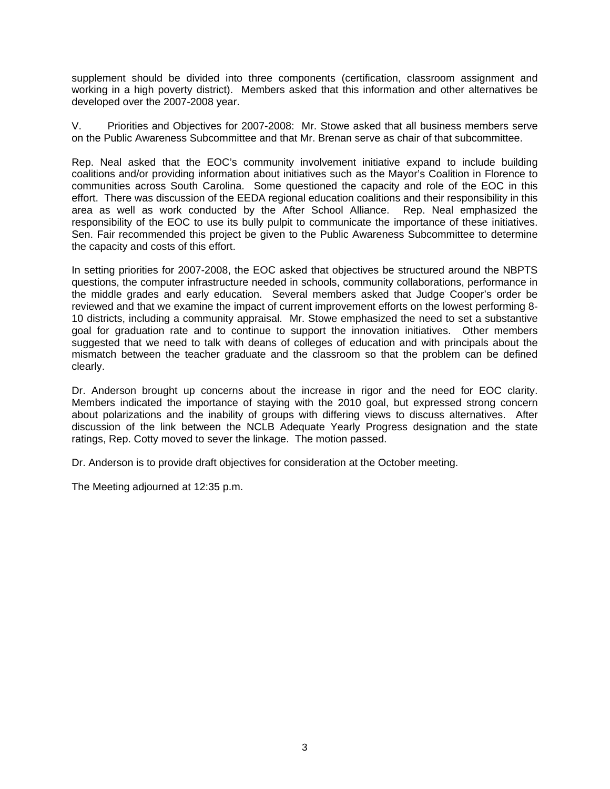supplement should be divided into three components (certification, classroom assignment and working in a high poverty district). Members asked that this information and other alternatives be developed over the 2007-2008 year.

V. Priorities and Objectives for 2007-2008: Mr. Stowe asked that all business members serve on the Public Awareness Subcommittee and that Mr. Brenan serve as chair of that subcommittee.

Rep. Neal asked that the EOC's community involvement initiative expand to include building coalitions and/or providing information about initiatives such as the Mayor's Coalition in Florence to communities across South Carolina. Some questioned the capacity and role of the EOC in this effort. There was discussion of the EEDA regional education coalitions and their responsibility in this area as well as work conducted by the After School Alliance. Rep. Neal emphasized the responsibility of the EOC to use its bully pulpit to communicate the importance of these initiatives. Sen. Fair recommended this project be given to the Public Awareness Subcommittee to determine the capacity and costs of this effort.

In setting priorities for 2007-2008, the EOC asked that objectives be structured around the NBPTS questions, the computer infrastructure needed in schools, community collaborations, performance in the middle grades and early education. Several members asked that Judge Cooper's order be reviewed and that we examine the impact of current improvement efforts on the lowest performing 8- 10 districts, including a community appraisal. Mr. Stowe emphasized the need to set a substantive goal for graduation rate and to continue to support the innovation initiatives. Other members suggested that we need to talk with deans of colleges of education and with principals about the mismatch between the teacher graduate and the classroom so that the problem can be defined clearly.

Dr. Anderson brought up concerns about the increase in rigor and the need for EOC clarity. Members indicated the importance of staying with the 2010 goal, but expressed strong concern about polarizations and the inability of groups with differing views to discuss alternatives. After discussion of the link between the NCLB Adequate Yearly Progress designation and the state ratings, Rep. Cotty moved to sever the linkage. The motion passed.

Dr. Anderson is to provide draft objectives for consideration at the October meeting.

The Meeting adjourned at 12:35 p.m.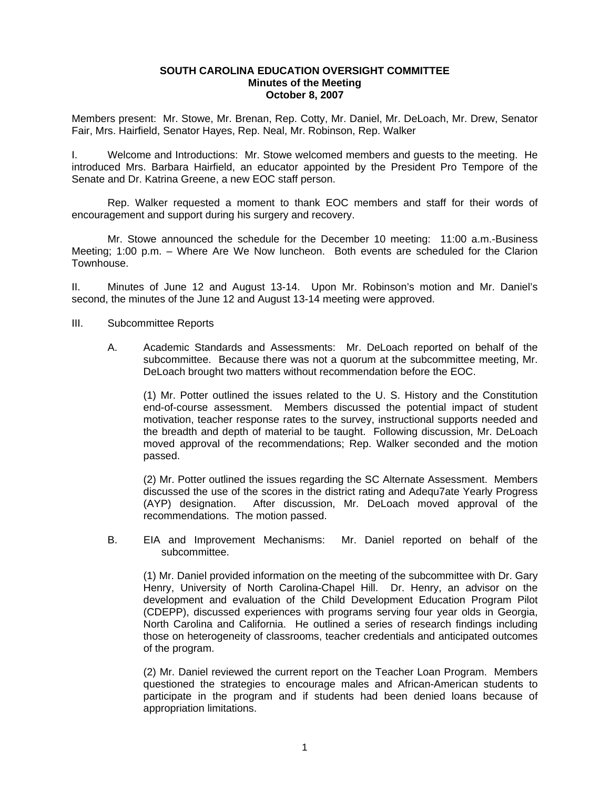#### **SOUTH CAROLINA EDUCATION OVERSIGHT COMMITTEE Minutes of the Meeting October 8, 2007**

Members present: Mr. Stowe, Mr. Brenan, Rep. Cotty, Mr. Daniel, Mr. DeLoach, Mr. Drew, Senator Fair, Mrs. Hairfield, Senator Hayes, Rep. Neal, Mr. Robinson, Rep. Walker

I. Welcome and Introductions: Mr. Stowe welcomed members and guests to the meeting. He introduced Mrs. Barbara Hairfield, an educator appointed by the President Pro Tempore of the Senate and Dr. Katrina Greene, a new EOC staff person.

 Rep. Walker requested a moment to thank EOC members and staff for their words of encouragement and support during his surgery and recovery.

 Mr. Stowe announced the schedule for the December 10 meeting: 11:00 a.m.-Business Meeting; 1:00 p.m. – Where Are We Now luncheon. Both events are scheduled for the Clarion Townhouse.

II. Minutes of June 12 and August 13-14. Upon Mr. Robinson's motion and Mr. Daniel's second, the minutes of the June 12 and August 13-14 meeting were approved.

### III. Subcommittee Reports

A. Academic Standards and Assessments: Mr. DeLoach reported on behalf of the subcommittee. Because there was not a quorum at the subcommittee meeting, Mr. DeLoach brought two matters without recommendation before the EOC.

(1) Mr. Potter outlined the issues related to the U. S. History and the Constitution end-of-course assessment. Members discussed the potential impact of student motivation, teacher response rates to the survey, instructional supports needed and the breadth and depth of material to be taught. Following discussion, Mr. DeLoach moved approval of the recommendations; Rep. Walker seconded and the motion passed.

(2) Mr. Potter outlined the issues regarding the SC Alternate Assessment. Members discussed the use of the scores in the district rating and Adequ7ate Yearly Progress (AYP) designation. After discussion, Mr. DeLoach moved approval of the recommendations. The motion passed.

B. EIA and Improvement Mechanisms: Mr. Daniel reported on behalf of the subcommittee.

(1) Mr. Daniel provided information on the meeting of the subcommittee with Dr. Gary Henry, University of North Carolina-Chapel Hill. Dr. Henry, an advisor on the development and evaluation of the Child Development Education Program Pilot (CDEPP), discussed experiences with programs serving four year olds in Georgia, North Carolina and California. He outlined a series of research findings including those on heterogeneity of classrooms, teacher credentials and anticipated outcomes of the program.

(2) Mr. Daniel reviewed the current report on the Teacher Loan Program. Members questioned the strategies to encourage males and African-American students to participate in the program and if students had been denied loans because of appropriation limitations.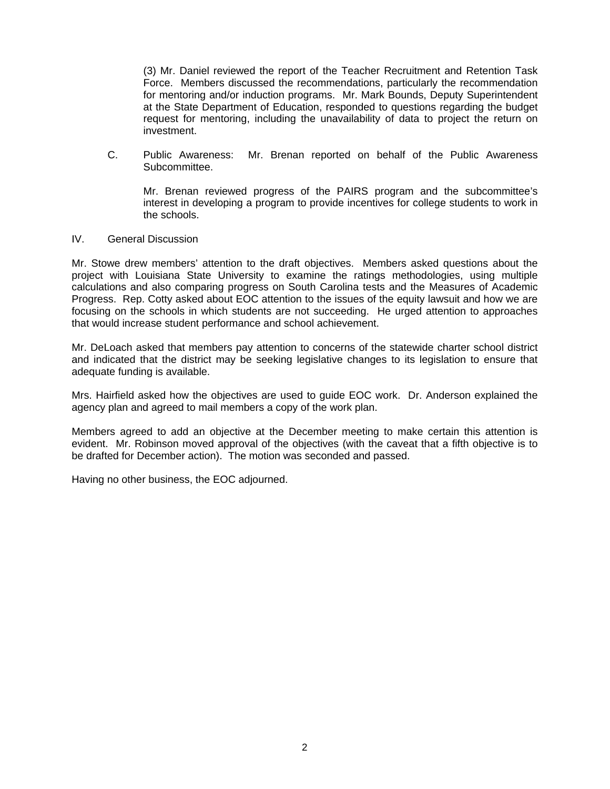(3) Mr. Daniel reviewed the report of the Teacher Recruitment and Retention Task Force. Members discussed the recommendations, particularly the recommendation for mentoring and/or induction programs. Mr. Mark Bounds, Deputy Superintendent at the State Department of Education, responded to questions regarding the budget request for mentoring, including the unavailability of data to project the return on investment.

C. Public Awareness: Mr. Brenan reported on behalf of the Public Awareness **Subcommittee.** 

Mr. Brenan reviewed progress of the PAIRS program and the subcommittee's interest in developing a program to provide incentives for college students to work in the schools.

IV. General Discussion

Mr. Stowe drew members' attention to the draft objectives. Members asked questions about the project with Louisiana State University to examine the ratings methodologies, using multiple calculations and also comparing progress on South Carolina tests and the Measures of Academic Progress. Rep. Cotty asked about EOC attention to the issues of the equity lawsuit and how we are focusing on the schools in which students are not succeeding. He urged attention to approaches that would increase student performance and school achievement.

Mr. DeLoach asked that members pay attention to concerns of the statewide charter school district and indicated that the district may be seeking legislative changes to its legislation to ensure that adequate funding is available.

Mrs. Hairfield asked how the objectives are used to guide EOC work. Dr. Anderson explained the agency plan and agreed to mail members a copy of the work plan.

Members agreed to add an objective at the December meeting to make certain this attention is evident. Mr. Robinson moved approval of the objectives (with the caveat that a fifth objective is to be drafted for December action). The motion was seconded and passed.

Having no other business, the EOC adjourned.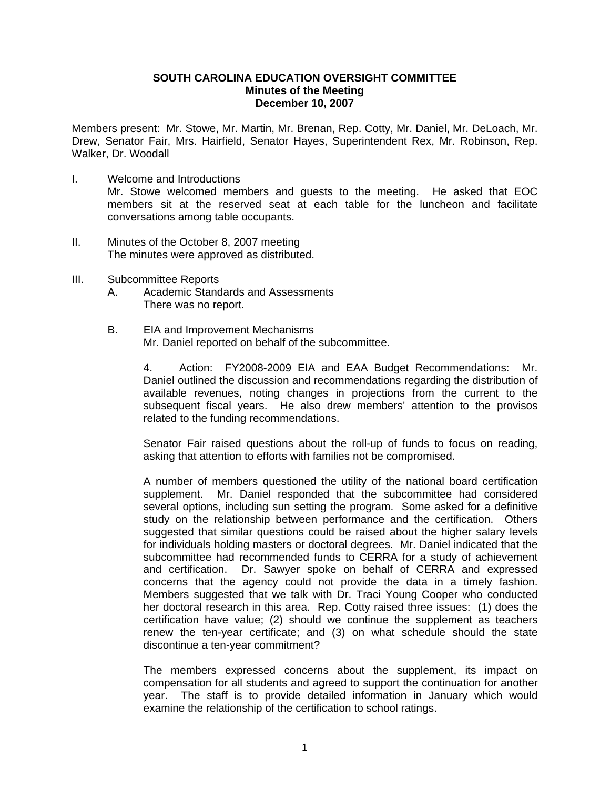# **SOUTH CAROLINA EDUCATION OVERSIGHT COMMITTEE Minutes of the Meeting December 10, 2007**

Members present: Mr. Stowe, Mr. Martin, Mr. Brenan, Rep. Cotty, Mr. Daniel, Mr. DeLoach, Mr. Drew, Senator Fair, Mrs. Hairfield, Senator Hayes, Superintendent Rex, Mr. Robinson, Rep. Walker, Dr. Woodall

- I. Welcome and Introductions Mr. Stowe welcomed members and guests to the meeting. He asked that EOC members sit at the reserved seat at each table for the luncheon and facilitate conversations among table occupants.
- II. Minutes of the October 8, 2007 meeting The minutes were approved as distributed.
- III. Subcommittee Reports
	- A. Academic Standards and Assessments There was no report.
	- B. EIA and Improvement Mechanisms Mr. Daniel reported on behalf of the subcommittee.

4. Action: FY2008-2009 EIA and EAA Budget Recommendations: Mr. Daniel outlined the discussion and recommendations regarding the distribution of available revenues, noting changes in projections from the current to the subsequent fiscal years. He also drew members' attention to the provisos related to the funding recommendations.

Senator Fair raised questions about the roll-up of funds to focus on reading, asking that attention to efforts with families not be compromised.

A number of members questioned the utility of the national board certification supplement. Mr. Daniel responded that the subcommittee had considered several options, including sun setting the program. Some asked for a definitive study on the relationship between performance and the certification. Others suggested that similar questions could be raised about the higher salary levels for individuals holding masters or doctoral degrees. Mr. Daniel indicated that the subcommittee had recommended funds to CERRA for a study of achievement and certification. Dr. Sawyer spoke on behalf of CERRA and expressed concerns that the agency could not provide the data in a timely fashion. Members suggested that we talk with Dr. Traci Young Cooper who conducted her doctoral research in this area. Rep. Cotty raised three issues: (1) does the certification have value; (2) should we continue the supplement as teachers renew the ten-year certificate; and (3) on what schedule should the state discontinue a ten-year commitment?

The members expressed concerns about the supplement, its impact on compensation for all students and agreed to support the continuation for another year. The staff is to provide detailed information in January which would examine the relationship of the certification to school ratings.